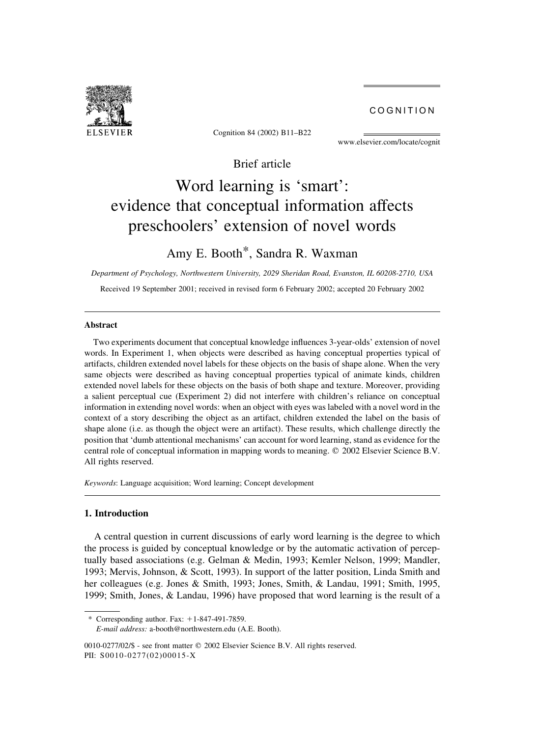COGNITION

www.elsevier.com/locate/cognit



Cognition 84 (2002) B11–B22

Brief article

A.E. Booth, S.R. Waxman / Cognition 84 (2002) B11–B22 B11

# Word learning is 'smart': evidence that conceptual information affects preschoolers' extension of novel words

## Amy E. Booth\*, Sandra R. Waxman

Department of Psychology, Northwestern University, 2029 Sheridan Road, Evanston, IL 60208-2710, USA

Received 19 September 2001; received in revised form 6 February 2002; accepted 20 February 2002

## Abstract

Two experiments document that conceptual knowledge influences 3-year-olds' extension of novel words. In Experiment 1, when objects were described as having conceptual properties typical of artifacts, children extended novel labels for these objects on the basis of shape alone. When the very same objects were described as having conceptual properties typical of animate kinds, children extended novel labels for these objects on the basis of both shape and texture. Moreover, providing a salient perceptual cue (Experiment 2) did not interfere with children's reliance on conceptual information in extending novel words: when an object with eyes was labeled with a novel word in the context of a story describing the object as an artifact, children extended the label on the basis of shape alone (i.e. as though the object were an artifact). These results, which challenge directly the position that 'dumb attentional mechanisms' can account for word learning, stand as evidence for the central role of conceptual information in mapping words to meaning.  $\oslash$  2002 Elsevier Science B.V. All rights reserved.

Keywords: Language acquisition; Word learning; Concept development

## 1. Introduction

A central question in current discussions of early word learning is the degree to which the process is guided by conceptual knowledge or by the automatic activation of perceptually based associations (e.g. Gelman & Medin, 1993; Kemler Nelson, 1999; Mandler, 1993; Mervis, Johnson, & Scott, 1993). In support of the latter position, Linda Smith and her colleagues (e.g. Jones & Smith, 1993; Jones, Smith, & Landau, 1991; Smith, 1995, 1999; Smith, Jones, & Landau, 1996) have proposed that word learning is the result of a

<sup>\*</sup> Corresponding author. Fax:  $+1-847-491-7859$ . E-mail address: a-booth@northwestern.edu (A.E. Booth).

<sup>0010-0277/02/\$ -</sup> see front matter © 2002 Elsevier Science B.V. All rights reserved. PII: S0010-0277(02)00015-X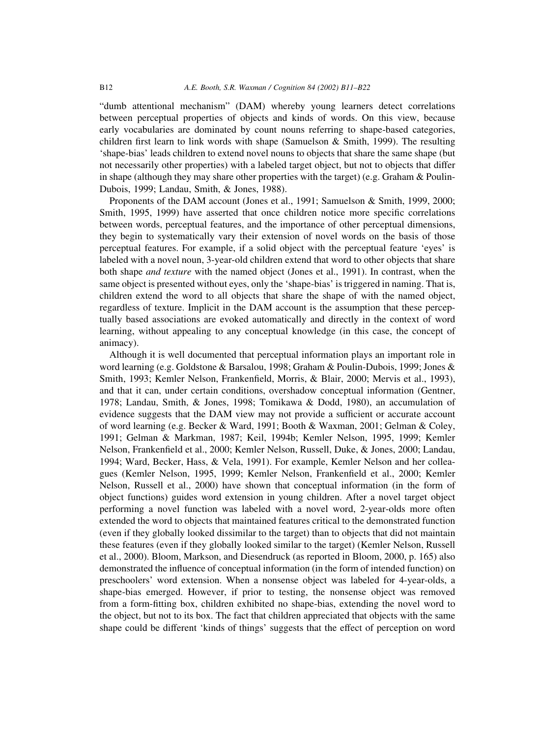"dumb attentional mechanism" (DAM) whereby young learners detect correlations between perceptual properties of objects and kinds of words. On this view, because early vocabularies are dominated by count nouns referring to shape-based categories, children first learn to link words with shape (Samuelson & Smith, 1999). The resulting 'shape-bias' leads children to extend novel nouns to objects that share the same shape (but not necessarily other properties) with a labeled target object, but not to objects that differ in shape (although they may share other properties with the target) (e.g. Graham & Poulin-Dubois, 1999; Landau, Smith, & Jones, 1988).

Proponents of the DAM account (Jones et al., 1991; Samuelson & Smith, 1999, 2000; Smith, 1995, 1999) have asserted that once children notice more specific correlations between words, perceptual features, and the importance of other perceptual dimensions, they begin to systematically vary their extension of novel words on the basis of those perceptual features. For example, if a solid object with the perceptual feature 'eyes' is labeled with a novel noun, 3-year-old children extend that word to other objects that share both shape and texture with the named object (Jones et al., 1991). In contrast, when the same object is presented without eyes, only the 'shape-bias' is triggered in naming. That is, children extend the word to all objects that share the shape of with the named object, regardless of texture. Implicit in the DAM account is the assumption that these perceptually based associations are evoked automatically and directly in the context of word learning, without appealing to any conceptual knowledge (in this case, the concept of animacy).

Although it is well documented that perceptual information plays an important role in word learning (e.g. Goldstone & Barsalou, 1998; Graham & Poulin-Dubois, 1999; Jones & Smith, 1993; Kemler Nelson, Frankenfield, Morris, & Blair, 2000; Mervis et al., 1993), and that it can, under certain conditions, overshadow conceptual information (Gentner, 1978; Landau, Smith, & Jones, 1998; Tomikawa & Dodd, 1980), an accumulation of evidence suggests that the DAM view may not provide a sufficient or accurate account of word learning (e.g. Becker & Ward, 1991; Booth & Waxman, 2001; Gelman & Coley, 1991; Gelman & Markman, 1987; Keil, 1994b; Kemler Nelson, 1995, 1999; Kemler Nelson, Frankenfield et al., 2000; Kemler Nelson, Russell, Duke, & Jones, 2000; Landau, 1994; Ward, Becker, Hass, & Vela, 1991). For example, Kemler Nelson and her colleagues (Kemler Nelson, 1995, 1999; Kemler Nelson, Frankenfield et al., 2000; Kemler Nelson, Russell et al., 2000) have shown that conceptual information (in the form of object functions) guides word extension in young children. After a novel target object performing a novel function was labeled with a novel word, 2-year-olds more often extended the word to objects that maintained features critical to the demonstrated function (even if they globally looked dissimilar to the target) than to objects that did not maintain these features (even if they globally looked similar to the target) (Kemler Nelson, Russell et al., 2000). Bloom, Markson, and Diesendruck (as reported in Bloom, 2000, p. 165) also demonstrated the influence of conceptual information (in the form of intended function) on preschoolers' word extension. When a nonsense object was labeled for 4-year-olds, a shape-bias emerged. However, if prior to testing, the nonsense object was removed from a form-fitting box, children exhibited no shape-bias, extending the novel word to the object, but not to its box. The fact that children appreciated that objects with the same shape could be different 'kinds of things' suggests that the effect of perception on word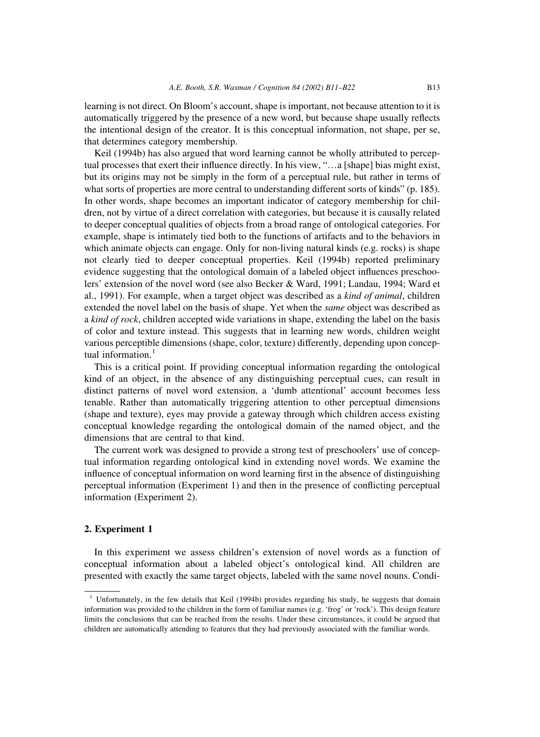learning is not direct. On Bloom's account, shape is important, not because attention to it is automatically triggered by the presence of a new word, but because shape usually reflects the intentional design of the creator. It is this conceptual information, not shape, per se, that determines category membership.

Keil (1994b) has also argued that word learning cannot be wholly attributed to perceptual processes that exert their influence directly. In his view, "…a [shape] bias might exist, but its origins may not be simply in the form of a perceptual rule, but rather in terms of what sorts of properties are more central to understanding different sorts of kinds" (p. 185). In other words, shape becomes an important indicator of category membership for children, not by virtue of a direct correlation with categories, but because it is causally related to deeper conceptual qualities of objects from a broad range of ontological categories. For example, shape is intimately tied both to the functions of artifacts and to the behaviors in which animate objects can engage. Only for non-living natural kinds (e.g. rocks) is shape not clearly tied to deeper conceptual properties. Keil (1994b) reported preliminary evidence suggesting that the ontological domain of a labeled object influences preschoolers' extension of the novel word (see also Becker & Ward, 1991; Landau, 1994; Ward et al., 1991). For example, when a target object was described as a kind of animal, children extended the novel label on the basis of shape. Yet when the same object was described as a kind of rock, children accepted wide variations in shape, extending the label on the basis of color and texture instead. This suggests that in learning new words, children weight various perceptible dimensions (shape, color, texture) differently, depending upon conceptual information. $<sup>1</sup>$ </sup>

This is a critical point. If providing conceptual information regarding the ontological kind of an object, in the absence of any distinguishing perceptual cues, can result in distinct patterns of novel word extension, a 'dumb attentional' account becomes less tenable. Rather than automatically triggering attention to other perceptual dimensions (shape and texture), eyes may provide a gateway through which children access existing conceptual knowledge regarding the ontological domain of the named object, and the dimensions that are central to that kind.

The current work was designed to provide a strong test of preschoolers' use of conceptual information regarding ontological kind in extending novel words. We examine the influence of conceptual information on word learning first in the absence of distinguishing perceptual information (Experiment 1) and then in the presence of conflicting perceptual information (Experiment 2).

## 2. Experiment 1

In this experiment we assess children's extension of novel words as a function of conceptual information about a labeled object's ontological kind. All children are presented with exactly the same target objects, labeled with the same novel nouns. Condi-

<sup>&</sup>lt;sup>1</sup> Unfortunately, in the few details that Keil (1994b) provides regarding his study, he suggests that domain information was provided to the children in the form of familiar names (e.g. 'frog' or 'rock'). This design feature limits the conclusions that can be reached from the results. Under these circumstances, it could be argued that children are automatically attending to features that they had previously associated with the familiar words.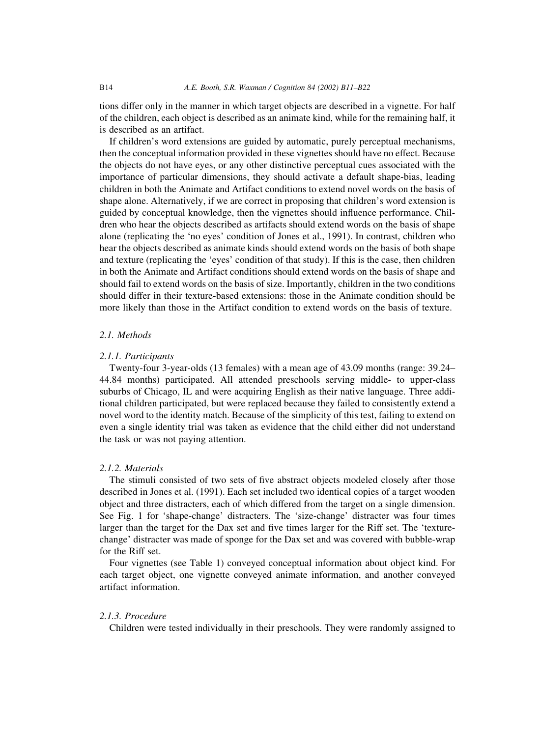tions differ only in the manner in which target objects are described in a vignette. For half of the children, each object is described as an animate kind, while for the remaining half, it is described as an artifact.

If children's word extensions are guided by automatic, purely perceptual mechanisms, then the conceptual information provided in these vignettes should have no effect. Because the objects do not have eyes, or any other distinctive perceptual cues associated with the importance of particular dimensions, they should activate a default shape-bias, leading children in both the Animate and Artifact conditions to extend novel words on the basis of shape alone. Alternatively, if we are correct in proposing that children's word extension is guided by conceptual knowledge, then the vignettes should influence performance. Children who hear the objects described as artifacts should extend words on the basis of shape alone (replicating the 'no eyes' condition of Jones et al., 1991). In contrast, children who hear the objects described as animate kinds should extend words on the basis of both shape and texture (replicating the 'eyes' condition of that study). If this is the case, then children in both the Animate and Artifact conditions should extend words on the basis of shape and should fail to extend words on the basis of size. Importantly, children in the two conditions should differ in their texture-based extensions: those in the Animate condition should be more likely than those in the Artifact condition to extend words on the basis of texture.

## 2.1. Methods

#### 2.1.1. Participants

Twenty-four 3-year-olds (13 females) with a mean age of 43.09 months (range: 39.24– 44.84 months) participated. All attended preschools serving middle- to upper-class suburbs of Chicago, IL and were acquiring English as their native language. Three additional children participated, but were replaced because they failed to consistently extend a novel word to the identity match. Because of the simplicity of this test, failing to extend on even a single identity trial was taken as evidence that the child either did not understand the task or was not paying attention.

## 2.1.2. Materials

The stimuli consisted of two sets of five abstract objects modeled closely after those described in Jones et al. (1991). Each set included two identical copies of a target wooden object and three distracters, each of which differed from the target on a single dimension. See Fig. 1 for 'shape-change' distracters. The 'size-change' distracter was four times larger than the target for the Dax set and five times larger for the Riff set. The 'texturechange' distracter was made of sponge for the Dax set and was covered with bubble-wrap for the Riff set.

Four vignettes (see Table 1) conveyed conceptual information about object kind. For each target object, one vignette conveyed animate information, and another conveyed artifact information.

## 2.1.3. Procedure

Children were tested individually in their preschools. They were randomly assigned to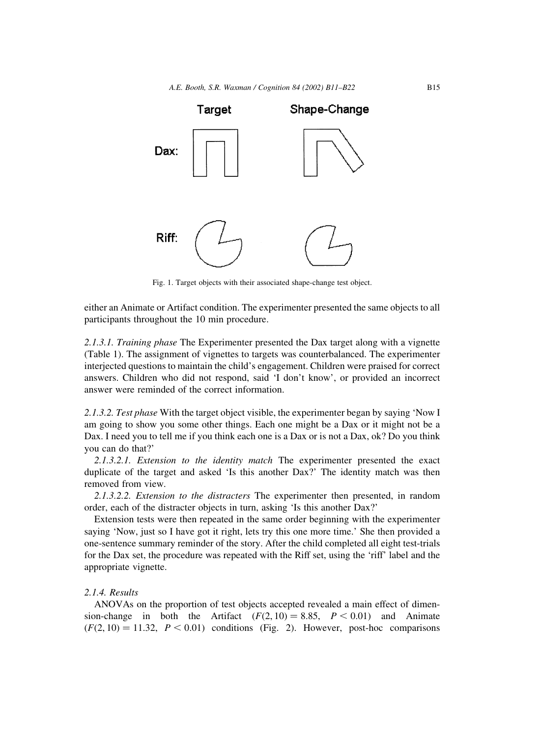

Fig. 1. Target objects with their associated shape-change test object.

either an Animate or Artifact condition. The experimenter presented the same objects to all participants throughout the 10 min procedure.

2.1.3.1. Training phase The Experimenter presented the Dax target along with a vignette (Table 1). The assignment of vignettes to targets was counterbalanced. The experimenter interjected questions to maintain the child's engagement. Children were praised for correct answers. Children who did not respond, said 'I don't know', or provided an incorrect answer were reminded of the correct information.

2.1.3.2. Test phase With the target object visible, the experimenter began by saying 'Now I am going to show you some other things. Each one might be a Dax or it might not be a Dax. I need you to tell me if you think each one is a Dax or is not a Dax, ok? Do you think you can do that?'

2.1.3.2.1. Extension to the identity match The experimenter presented the exact duplicate of the target and asked 'Is this another Dax?' The identity match was then removed from view.

2.1.3.2.2. Extension to the distracters The experimenter then presented, in random order, each of the distracter objects in turn, asking 'Is this another Dax?'

Extension tests were then repeated in the same order beginning with the experimenter saying 'Now, just so I have got it right, lets try this one more time.' She then provided a one-sentence summary reminder of the story. After the child completed all eight test-trials for the Dax set, the procedure was repeated with the Riff set, using the 'riff' label and the appropriate vignette.

## 2.1.4. Results

ANOVAs on the proportion of test objects accepted revealed a main effect of dimension-change in both the Artifact  $(F(2, 10) = 8.85, P < 0.01)$  and Animate  $(F(2, 10) = 11.32, P < 0.01)$  conditions (Fig. 2). However, post-hoc comparisons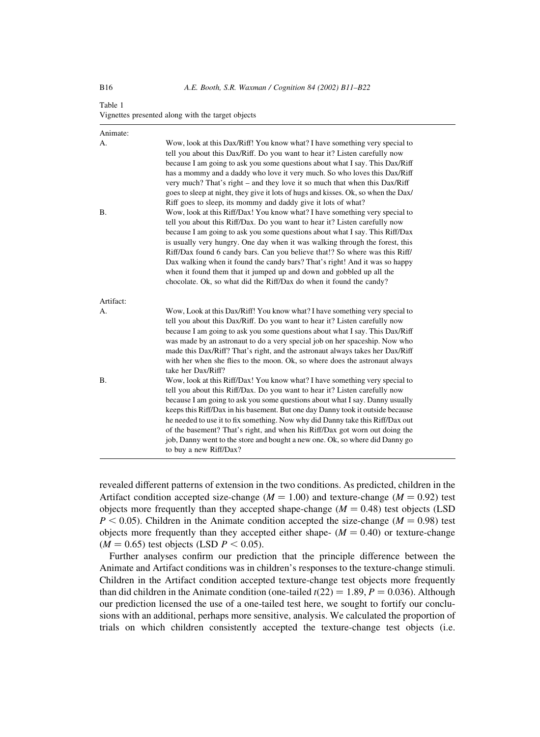## Table 1

| Vignettes presented along with the target objects |  |  |  |
|---------------------------------------------------|--|--|--|
|                                                   |  |  |  |

| Animate:  |                                                                                                                                                                                                                                                                                                                                                                                                                                                                                                                                                                                                                                        |
|-----------|----------------------------------------------------------------------------------------------------------------------------------------------------------------------------------------------------------------------------------------------------------------------------------------------------------------------------------------------------------------------------------------------------------------------------------------------------------------------------------------------------------------------------------------------------------------------------------------------------------------------------------------|
| А.        | Wow, look at this Dax/Riff! You know what? I have something very special to<br>tell you about this Dax/Riff. Do you want to hear it? Listen carefully now<br>because I am going to ask you some questions about what I say. This Dax/Riff<br>has a mommy and a daddy who love it very much. So who loves this Dax/Riff<br>very much? That's right – and they love it so much that when this Dax/Riff<br>goes to sleep at night, they give it lots of hugs and kisses. Ok, so when the Dax/<br>Riff goes to sleep, its mommy and daddy give it lots of what?                                                                            |
| <b>B.</b> | Wow, look at this Riff/Dax! You know what? I have something very special to<br>tell you about this Riff/Dax. Do you want to hear it? Listen carefully now<br>because I am going to ask you some questions about what I say. This Riff/Dax<br>is usually very hungry. One day when it was walking through the forest, this<br>Riff/Dax found 6 candy bars. Can you believe that!? So where was this Riff/<br>Dax walking when it found the candy bars? That's right! And it was so happy<br>when it found them that it jumped up and down and gobbled up all the<br>chocolate. Ok, so what did the Riff/Dax do when it found the candy? |
| Artifact: |                                                                                                                                                                                                                                                                                                                                                                                                                                                                                                                                                                                                                                        |
| А.        | Wow, Look at this Dax/Riff! You know what? I have something very special to<br>tell you about this Dax/Riff. Do you want to hear it? Listen carefully now<br>because I am going to ask you some questions about what I say. This Dax/Riff<br>was made by an astronaut to do a very special job on her spaceship. Now who<br>made this Dax/Riff? That's right, and the astronaut always takes her Dax/Riff<br>with her when she flies to the moon. Ok, so where does the astronaut always<br>take her Dax/Riff?                                                                                                                         |
| <b>B.</b> | Wow, look at this Riff/Dax! You know what? I have something very special to<br>tell you about this Riff/Dax. Do you want to hear it? Listen carefully now<br>because I am going to ask you some questions about what I say. Danny usually<br>keeps this Riff/Dax in his basement. But one day Danny took it outside because<br>he needed to use it to fix something. Now why did Danny take this Riff/Dax out<br>of the basement? That's right, and when his Riff/Dax got worn out doing the<br>job, Danny went to the store and bought a new one. Ok, so where did Danny go<br>to buy a new Riff/Dax?                                 |

revealed different patterns of extension in the two conditions. As predicted, children in the Artifact condition accepted size-change ( $M = 1.00$ ) and texture-change ( $M = 0.92$ ) test objects more frequently than they accepted shape-change ( $M = 0.48$ ) test objects (LSD  $P < 0.05$ ). Children in the Animate condition accepted the size-change ( $M = 0.98$ ) test objects more frequently than they accepted either shape-  $(M = 0.40)$  or texture-change  $(M = 0.65)$  test objects (LSD  $P < 0.05$ ).

Further analyses confirm our prediction that the principle difference between the Animate and Artifact conditions was in children's responses to the texture-change stimuli. Children in the Artifact condition accepted texture-change test objects more frequently than did children in the Animate condition (one-tailed  $t(22) = 1.89$ ,  $P = 0.036$ ). Although our prediction licensed the use of a one-tailed test here, we sought to fortify our conclusions with an additional, perhaps more sensitive, analysis. We calculated the proportion of trials on which children consistently accepted the texture-change test objects (i.e.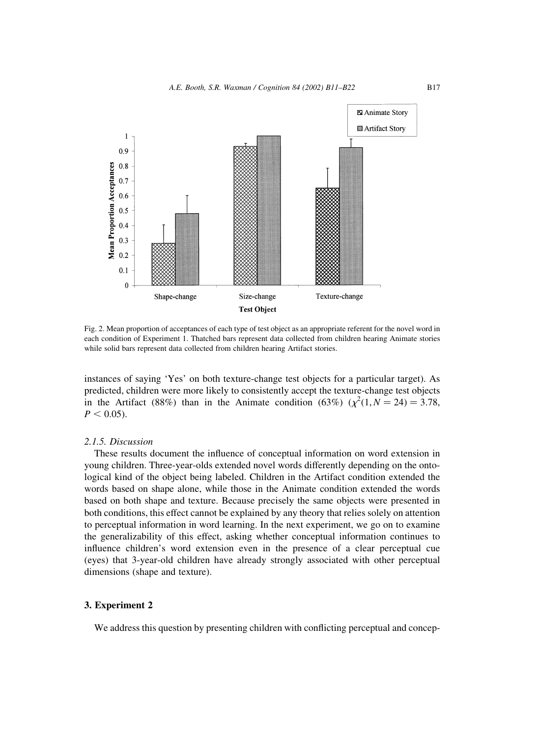

Fig. 2. Mean proportion of acceptances of each type of test object as an appropriate referent for the novel word in each condition of Experiment 1. Thatched bars represent data collected from children hearing Animate stories while solid bars represent data collected from children hearing Artifact stories.

instances of saying 'Yes' on both texture-change test objects for a particular target). As predicted, children were more likely to consistently accept the texture-change test objects in the Artifact (88%) than in the Animate condition (63%)  $(\chi^2(1, N = 24) = 3.78,$  $P < 0.05$ ).

## 2.1.5. Discussion

These results document the influence of conceptual information on word extension in young children. Three-year-olds extended novel words differently depending on the ontological kind of the object being labeled. Children in the Artifact condition extended the words based on shape alone, while those in the Animate condition extended the words based on both shape and texture. Because precisely the same objects were presented in both conditions, this effect cannot be explained by any theory that relies solely on attention to perceptual information in word learning. In the next experiment, we go on to examine the generalizability of this effect, asking whether conceptual information continues to influence children's word extension even in the presence of a clear perceptual cue (eyes) that 3-year-old children have already strongly associated with other perceptual dimensions (shape and texture).

## 3. Experiment 2

We address this question by presenting children with conflicting perceptual and concep-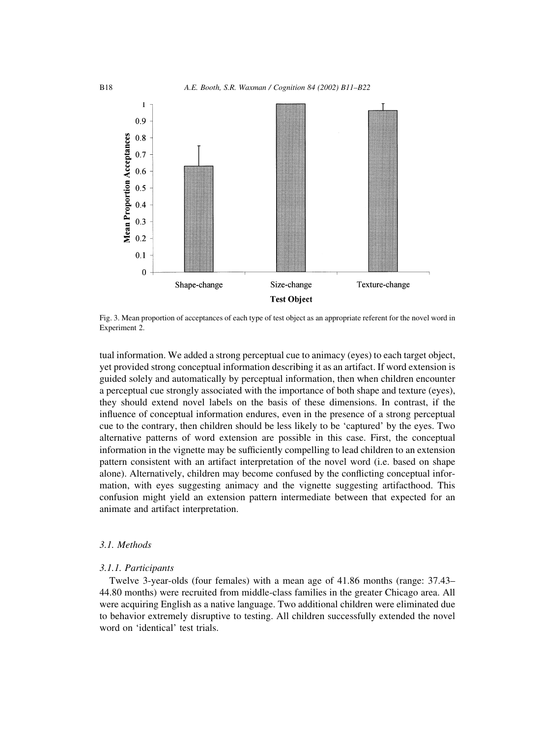

Fig. 3. Mean proportion of acceptances of each type of test object as an appropriate referent for the novel word in Experiment 2.

tual information. We added a strong perceptual cue to animacy (eyes) to each target object, yet provided strong conceptual information describing it as an artifact. If word extension is guided solely and automatically by perceptual information, then when children encounter a perceptual cue strongly associated with the importance of both shape and texture (eyes), they should extend novel labels on the basis of these dimensions. In contrast, if the influence of conceptual information endures, even in the presence of a strong perceptual cue to the contrary, then children should be less likely to be 'captured' by the eyes. Two alternative patterns of word extension are possible in this case. First, the conceptual information in the vignette may be sufficiently compelling to lead children to an extension pattern consistent with an artifact interpretation of the novel word (i.e. based on shape alone). Alternatively, children may become confused by the conflicting conceptual information, with eyes suggesting animacy and the vignette suggesting artifacthood. This confusion might yield an extension pattern intermediate between that expected for an animate and artifact interpretation.

#### 3.1. Methods

#### 3.1.1. Participants

Twelve 3-year-olds (four females) with a mean age of 41.86 months (range: 37.43– 44.80 months) were recruited from middle-class families in the greater Chicago area. All were acquiring English as a native language. Two additional children were eliminated due to behavior extremely disruptive to testing. All children successfully extended the novel word on 'identical' test trials.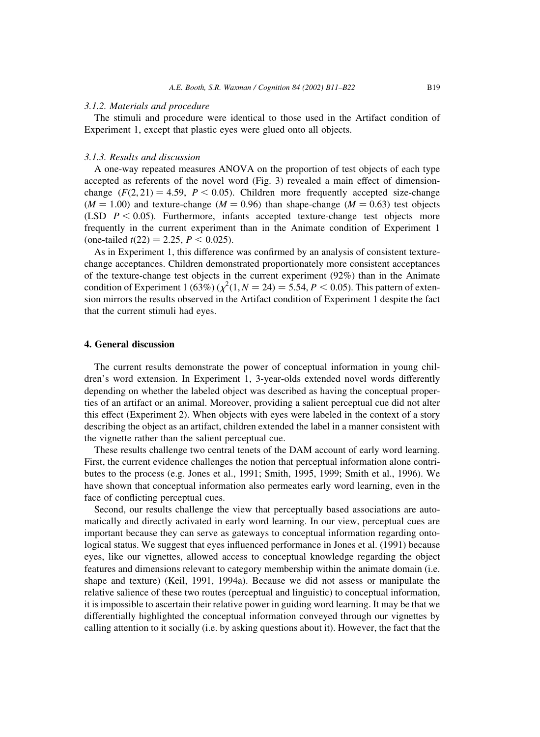## 3.1.2. Materials and procedure

The stimuli and procedure were identical to those used in the Artifact condition of Experiment 1, except that plastic eyes were glued onto all objects.

## 3.1.3. Results and discussion

A one-way repeated measures ANOVA on the proportion of test objects of each type accepted as referents of the novel word (Fig. 3) revealed a main effect of dimensionchange  $(F(2, 21) = 4.59, P < 0.05)$ . Children more frequently accepted size-change  $(M = 1.00)$  and texture-change  $(M = 0.96)$  than shape-change  $(M = 0.63)$  test objects (LSD  $P < 0.05$ ). Furthermore, infants accepted texture-change test objects more frequently in the current experiment than in the Animate condition of Experiment 1 (one-tailed  $t(22) = 2.25$ ,  $P < 0.025$ ).

As in Experiment 1, this difference was confirmed by an analysis of consistent texturechange acceptances. Children demonstrated proportionately more consistent acceptances of the texture-change test objects in the current experiment (92%) than in the Animate condition of Experiment 1 (63%) ( $\chi^2(1, N = 24) = 5.54, P < 0.05$ ). This pattern of extension mirrors the results observed in the Artifact condition of Experiment 1 despite the fact that the current stimuli had eyes.

## 4. General discussion

The current results demonstrate the power of conceptual information in young children's word extension. In Experiment 1, 3-year-olds extended novel words differently depending on whether the labeled object was described as having the conceptual properties of an artifact or an animal. Moreover, providing a salient perceptual cue did not alter this effect (Experiment 2). When objects with eyes were labeled in the context of a story describing the object as an artifact, children extended the label in a manner consistent with the vignette rather than the salient perceptual cue.

These results challenge two central tenets of the DAM account of early word learning. First, the current evidence challenges the notion that perceptual information alone contributes to the process (e.g. Jones et al., 1991; Smith, 1995, 1999; Smith et al., 1996). We have shown that conceptual information also permeates early word learning, even in the face of conflicting perceptual cues.

Second, our results challenge the view that perceptually based associations are automatically and directly activated in early word learning. In our view, perceptual cues are important because they can serve as gateways to conceptual information regarding ontological status. We suggest that eyes influenced performance in Jones et al. (1991) because eyes, like our vignettes, allowed access to conceptual knowledge regarding the object features and dimensions relevant to category membership within the animate domain (i.e. shape and texture) (Keil, 1991, 1994a). Because we did not assess or manipulate the relative salience of these two routes (perceptual and linguistic) to conceptual information, it is impossible to ascertain their relative power in guiding word learning. It may be that we differentially highlighted the conceptual information conveyed through our vignettes by calling attention to it socially (i.e. by asking questions about it). However, the fact that the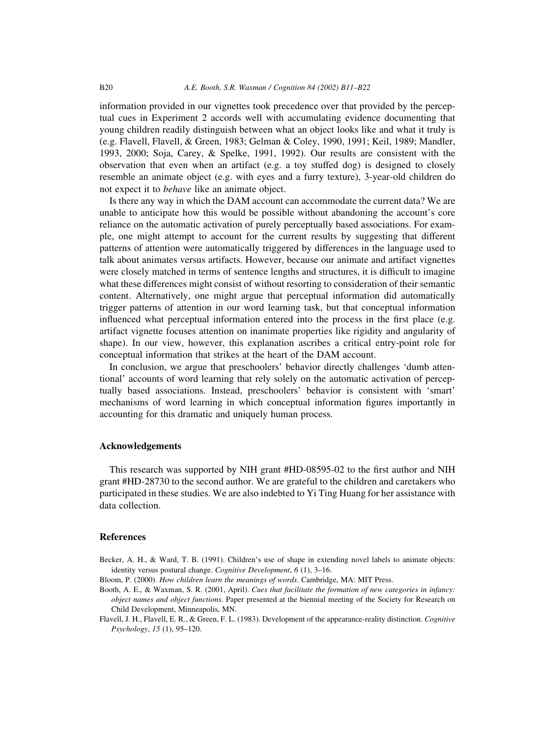information provided in our vignettes took precedence over that provided by the perceptual cues in Experiment 2 accords well with accumulating evidence documenting that young children readily distinguish between what an object looks like and what it truly is (e.g. Flavell, Flavell, & Green, 1983; Gelman & Coley, 1990, 1991; Keil, 1989; Mandler, 1993, 2000; Soja, Carey, & Spelke, 1991, 1992). Our results are consistent with the observation that even when an artifact (e.g. a toy stuffed dog) is designed to closely resemble an animate object (e.g. with eyes and a furry texture), 3-year-old children do not expect it to behave like an animate object.

Is there any way in which the DAM account can accommodate the current data? We are unable to anticipate how this would be possible without abandoning the account's core reliance on the automatic activation of purely perceptually based associations. For example, one might attempt to account for the current results by suggesting that different patterns of attention were automatically triggered by differences in the language used to talk about animates versus artifacts. However, because our animate and artifact vignettes were closely matched in terms of sentence lengths and structures, it is difficult to imagine what these differences might consist of without resorting to consideration of their semantic content. Alternatively, one might argue that perceptual information did automatically trigger patterns of attention in our word learning task, but that conceptual information influenced what perceptual information entered into the process in the first place (e.g. artifact vignette focuses attention on inanimate properties like rigidity and angularity of shape). In our view, however, this explanation ascribes a critical entry-point role for conceptual information that strikes at the heart of the DAM account.

In conclusion, we argue that preschoolers' behavior directly challenges 'dumb attentional' accounts of word learning that rely solely on the automatic activation of perceptually based associations. Instead, preschoolers' behavior is consistent with 'smart' mechanisms of word learning in which conceptual information figures importantly in accounting for this dramatic and uniquely human process.

#### Acknowledgements

This research was supported by NIH grant #HD-08595-02 to the first author and NIH grant #HD-28730 to the second author. We are grateful to the children and caretakers who participated in these studies. We are also indebted to Yi Ting Huang for her assistance with data collection.

#### References

Becker, A. H., & Ward, T. B. (1991). Children's use of shape in extending novel labels to animate objects: identity versus postural change. Cognitive Development, 6 (1), 3–16.

Bloom, P. (2000). How children learn the meanings of words. Cambridge, MA: MIT Press.

Booth, A. E., & Waxman, S. R. (2001, April). Cues that facilitate the formation of new categories in infancy: object names and object functions. Paper presented at the biennial meeting of the Society for Research on Child Development, Minneapolis, MN.

Flavell, J. H., Flavell, E. R., & Green, F. L. (1983). Development of the appearance-reality distinction. Cognitive Psychology, 15 (1), 95–120.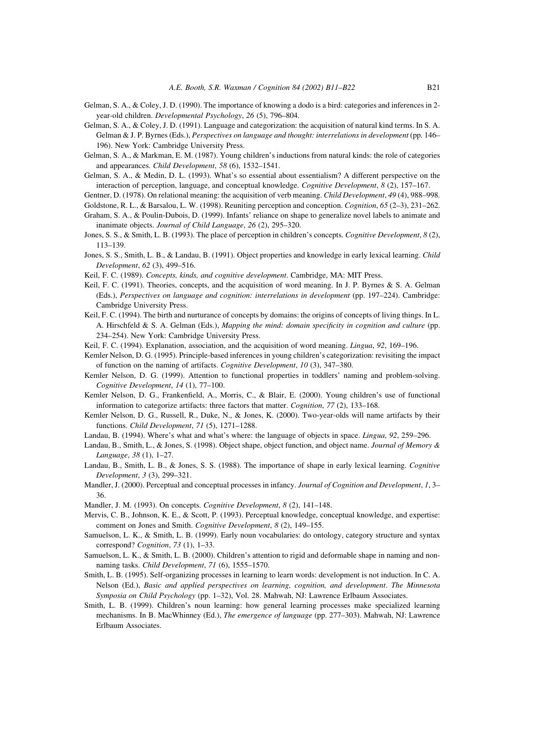- Gelman, S. A., & Coley, J. D. (1990). The importance of knowing a dodo is a bird: categories and inferences in 2 year-old children. Developmental Psychology, 26 (5), 796–804.
- Gelman, S. A., & Coley, J. D. (1991). Language and categorization: the acquisition of natural kind terms. In S. A. Gelman & J. P. Byrnes (Eds.), Perspectives on language and thought: interrelations in development (pp. 146– 196). New York: Cambridge University Press.
- Gelman, S. A., & Markman, E. M. (1987). Young children's inductions from natural kinds: the role of categories and appearances. Child Development, 58 (6), 1532–1541.
- Gelman, S. A., & Medin, D. L. (1993). What's so essential about essentialism? A different perspective on the interaction of perception, language, and conceptual knowledge. Cognitive Development, 8 (2), 157–167.
- Gentner, D. (1978). On relational meaning: the acquisition of verb meaning. Child Development, 49 (4), 988–998.
- Goldstone, R. L., & Barsalou, L. W. (1998). Reuniting perception and conception. Cognition, 65 (2-3), 231-262.
- Graham, S. A., & Poulin-Dubois, D. (1999). Infants' reliance on shape to generalize novel labels to animate and inanimate objects. Journal of Child Language, 26 (2), 295–320.
- Jones, S. S., & Smith, L. B. (1993). The place of perception in children's concepts. Cognitive Development, 8 (2), 113–139.
- Jones, S. S., Smith, L. B., & Landau, B. (1991). Object properties and knowledge in early lexical learning. Child Development, 62 (3), 499–516.
- Keil, F. C. (1989). Concepts, kinds, and cognitive development. Cambridge, MA: MIT Press.
- Keil, F. C. (1991). Theories, concepts, and the acquisition of word meaning. In J. P. Byrnes & S. A. Gelman (Eds.), Perspectives on language and cognition: interrelations in development (pp. 197–224). Cambridge: Cambridge University Press.
- Keil, F. C. (1994). The birth and nurturance of concepts by domains: the origins of concepts of living things. In L. A. Hirschfeld & S. A. Gelman (Eds.), Mapping the mind: domain specificity in cognition and culture (pp. 234–254). New York: Cambridge University Press.
- Keil, F. C. (1994). Explanation, association, and the acquisition of word meaning. Lingua, 92, 169–196.
- Kemler Nelson, D. G. (1995). Principle-based inferences in young children's categorization: revisiting the impact of function on the naming of artifacts. Cognitive Development, 10 (3), 347–380.
- Kemler Nelson, D. G. (1999). Attention to functional properties in toddlers' naming and problem-solving. Cognitive Development, 14 (1), 77–100.
- Kemler Nelson, D. G., Frankenfield, A., Morris, C., & Blair, E. (2000). Young children's use of functional information to categorize artifacts: three factors that matter. Cognition, 77 (2), 133–168.
- Kemler Nelson, D. G., Russell, R., Duke, N., & Jones, K. (2000). Two-year-olds will name artifacts by their functions. Child Development, 71 (5), 1271–1288.
- Landau, B. (1994). Where's what and what's where: the language of objects in space. Lingua, 92, 259–296.
- Landau, B., Smith, L., & Jones, S. (1998). Object shape, object function, and object name. Journal of Memory & Language, 38 (1), 1–27.
- Landau, B., Smith, L. B., & Jones, S. S. (1988). The importance of shape in early lexical learning. Cognitive Development, 3 (3), 299–321.
- Mandler, J. (2000). Perceptual and conceptual processes in infancy. Journal of Cognition and Development, 1, 3– 36.
- Mandler, J. M. (1993). On concepts. Cognitive Development, 8 (2), 141–148.
- Mervis, C. B., Johnson, K. E., & Scott, P. (1993). Perceptual knowledge, conceptual knowledge, and expertise: comment on Jones and Smith. Cognitive Development, 8 (2), 149–155.
- Samuelson, L. K., & Smith, L. B. (1999). Early noun vocabularies: do ontology, category structure and syntax correspond? Cognition, 73 (1), 1–33.
- Samuelson, L. K., & Smith, L. B. (2000). Children's attention to rigid and deformable shape in naming and nonnaming tasks. Child Development, 71 (6), 1555–1570.
- Smith, L. B. (1995). Self-organizing processes in learning to learn words: development is not induction. In C. A. Nelson (Ed.), Basic and applied perspectives on learning, cognition, and development. The Minnesota Symposia on Child Psychology (pp. 1–32), Vol. 28. Mahwah, NJ: Lawrence Erlbaum Associates.
- Smith, L. B. (1999). Children's noun learning: how general learning processes make specialized learning mechanisms. In B. MacWhinney (Ed.), The emergence of language (pp. 277–303). Mahwah, NJ: Lawrence Erlbaum Associates.